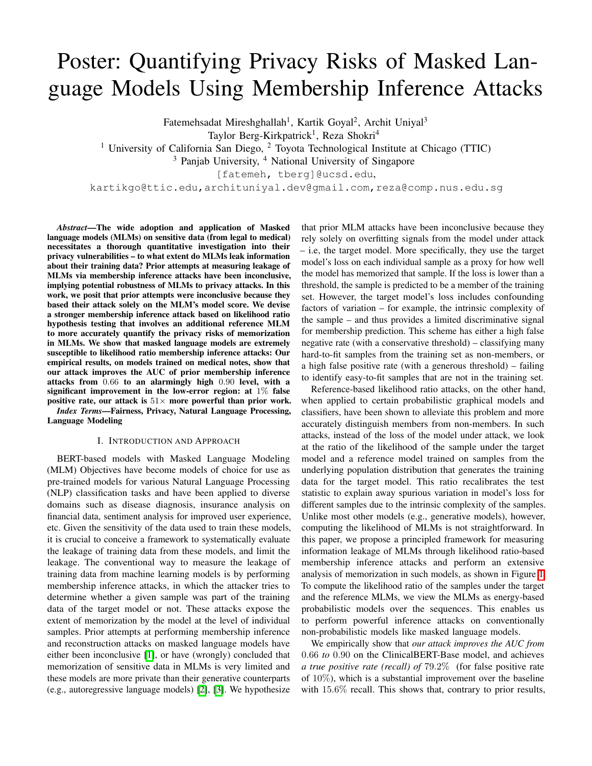## <span id="page-0-3"></span>Poster: Quantifying Privacy Risks of Masked Language Models Using Membership Inference Attacks

Fatemehsadat Mireshghallah<sup>1</sup>, Kartik Goyal<sup>2</sup>, Archit Uniyal<sup>3</sup>

Taylor Berg-Kirkpatrick<sup>1</sup>, Reza Shokri<sup>4</sup>

<sup>1</sup> University of California San Diego,  $2$  Toyota Technological Institute at Chicago (TTIC)

<sup>3</sup> Panjab University, <sup>4</sup> National University of Singapore

[fatemeh, tberg]@ucsd.edu,

kartikgo@ttic.edu,archituniyal.dev@gmail.com,reza@comp.nus.edu.sg

<span id="page-0-6"></span>*Abstract*—The wide adoption and application of Masked language models (MLMs) on sensitive data (from legal to medical) necessitates a thorough quantitative investigation into their privacy vulnerabilities – to what extent do MLMs leak information about their training data? Prior attempts at measuring leakage of MLMs via membership inference attacks have been inconclusive, implying potential robustness of MLMs to privacy attacks. In this work, we posit that prior attempts were inconclusive because they based their attack solely on the MLM's model score. We devise a stronger membership inference attack based on likelihood ratio hypothesis testing that involves an additional reference MLM to more accurately quantify the privacy risks of memorization in MLMs. We show that masked language models are extremely susceptible to likelihood ratio membership inference attacks: Our empirical results, on models trained on medical notes, show that our attack improves the AUC of prior membership inference attacks from 0*.*66 to an alarmingly high 0*.*90 level, with a significant improvement in the low-error region: at 1% false positive rate, our attack is  $51\times$  more powerful than prior work.

<span id="page-0-4"></span>*Index Terms*—Fairness, Privacy, Natural Language Processing, Language Modeling

## I. INTRODUCTION AND APPROACH

<span id="page-0-5"></span>BERT-based models with Masked Language Modeling (MLM) Objectives have become models of choice for use as pre-trained models for various Natural Language Processing (NLP) classification tasks and have been applied to diverse domains such as disease diagnosis, insurance analysis on financial data, sentiment analysis for improved user experience, etc. Given the sensitivity of the data used to train these models, it is crucial to conceive a framework to systematically evaluate the leakage of training data from these models, and limit the leakage. The conventional way to measure the leakage of training data from machine learning models is by performing membership inference attacks, in which the attacker tries to determine whether a given sample was part of the training data of the target model or not. These attacks expose the extent of memorization by the model at the level of individual samples. Prior attempts at performing membership inference and reconstruction attacks on masked language models have either been inconclusive  $\|\mathbf{l}\|$ , or have (wrongly) concluded that memorization of sensitive data in MLMs is very limited and these models are more private than their generative counterparts (e.g., autoregressive language models)  $[2]$ ,  $[3]$ . We hypothesize

that prior MLM attacks have been inconclusive because they rely solely on overfitting signals from the model under attack – i.e, the target model. More specifically, they use the target model's loss on each individual sample as a proxy for how well the model has memorized that sample. If the loss is lower than a threshold, the sample is predicted to be a member of the training set. However, the target model's loss includes confounding factors of variation – for example, the intrinsic complexity of the sample – and thus provides a limited discriminative signal for membership prediction. This scheme has either a high false negative rate (with a conservative threshold) – classifying many hard-to-fit samples from the training set as non-members, or a high false positive rate (with a generous threshold) – failing to identify easy-to-fit samples that are not in the training set.

Reference-based likelihood ratio attacks, on the other hand, when applied to certain probabilistic graphical models and classifiers, have been shown to alleviate this problem and more accurately distinguish members from non-members. In such attacks, instead of the loss of the model under attack, we look at the ratio of the likelihood of the sample under the target model and a reference model trained on samples from the underlying population distribution that generates the training data for the target model. This ratio recalibrates the test statistic to explain away spurious variation in model's loss for different samples due to the intrinsic complexity of the samples. Unlike most other models (e.g., generative models), however, computing the likelihood of MLMs is not straightforward. In this paper, we propose a principled framework for measuring information leakage of MLMs through likelihood ratio-based membership inference attacks and perform an extensive analysis of memorization in such models, as shown in Figure  $\prod$ To compute the likelihood ratio of the samples under the target and the reference MLMs, we view the MLMs as energy-based probabilistic models over the sequences. This enables us to perform powerful inference attacks on conventionally non-probabilistic models like masked language models.

<span id="page-0-2"></span><span id="page-0-1"></span><span id="page-0-0"></span>We empirically show that *our attack improves the AUC from* 0*.*66 *to* 0*.*90 on the ClinicalBERT-Base model, and achieves *a true positive rate (recall) of* 79*.*2% (for false positive rate of  $10\%$ ), which is a substantial improvement over the baseline with 15*.*6% recall. This shows that, contrary to prior results,